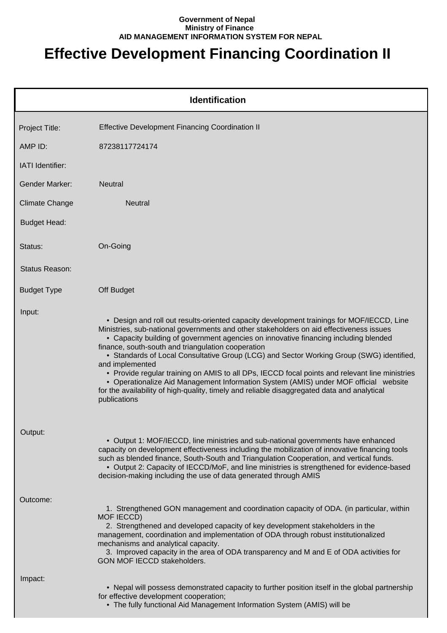## **Government of Nepal Ministry of Finance AID MANAGEMENT INFORMATION SYSTEM FOR NEPAL**

## **Effective Development Financing Coordination II**

|                         | <b>Identification</b>                                                                                                                                                                                                                                                                                                                                                                                                                                                                                                                                                                                                                                                                                                                                      |
|-------------------------|------------------------------------------------------------------------------------------------------------------------------------------------------------------------------------------------------------------------------------------------------------------------------------------------------------------------------------------------------------------------------------------------------------------------------------------------------------------------------------------------------------------------------------------------------------------------------------------------------------------------------------------------------------------------------------------------------------------------------------------------------------|
| Project Title:          | <b>Effective Development Financing Coordination II</b>                                                                                                                                                                                                                                                                                                                                                                                                                                                                                                                                                                                                                                                                                                     |
| AMP ID:                 | 87238117724174                                                                                                                                                                                                                                                                                                                                                                                                                                                                                                                                                                                                                                                                                                                                             |
| <b>IATI</b> Identifier: |                                                                                                                                                                                                                                                                                                                                                                                                                                                                                                                                                                                                                                                                                                                                                            |
| <b>Gender Marker:</b>   | <b>Neutral</b>                                                                                                                                                                                                                                                                                                                                                                                                                                                                                                                                                                                                                                                                                                                                             |
| <b>Climate Change</b>   | <b>Neutral</b>                                                                                                                                                                                                                                                                                                                                                                                                                                                                                                                                                                                                                                                                                                                                             |
| <b>Budget Head:</b>     |                                                                                                                                                                                                                                                                                                                                                                                                                                                                                                                                                                                                                                                                                                                                                            |
| Status:                 | On-Going                                                                                                                                                                                                                                                                                                                                                                                                                                                                                                                                                                                                                                                                                                                                                   |
| Status Reason:          |                                                                                                                                                                                                                                                                                                                                                                                                                                                                                                                                                                                                                                                                                                                                                            |
| <b>Budget Type</b>      | Off Budget                                                                                                                                                                                                                                                                                                                                                                                                                                                                                                                                                                                                                                                                                                                                                 |
| Input:                  | • Design and roll out results-oriented capacity development trainings for MOF/IECCD, Line<br>Ministries, sub-national governments and other stakeholders on aid effectiveness issues<br>• Capacity building of government agencies on innovative financing including blended<br>finance, south-south and triangulation cooperation<br>• Standards of Local Consultative Group (LCG) and Sector Working Group (SWG) identified,<br>and implemented<br>• Provide regular training on AMIS to all DPs, IECCD focal points and relevant line ministries<br>• Operationalize Aid Management Information System (AMIS) under MOF official website<br>for the availability of high-quality, timely and reliable disaggregated data and analytical<br>publications |
| Output:                 | • Output 1: MOF/IECCD, line ministries and sub-national governments have enhanced<br>capacity on development effectiveness including the mobilization of innovative financing tools<br>such as blended finance, South-South and Triangulation Cooperation, and vertical funds.<br>• Output 2: Capacity of IECCD/MoF, and line ministries is strengthened for evidence-based<br>decision-making including the use of data generated through AMIS                                                                                                                                                                                                                                                                                                            |
| Outcome:                | 1. Strengthened GON management and coordination capacity of ODA. (in particular, within<br>MOF IECCD)<br>2. Strengthened and developed capacity of key development stakeholders in the<br>management, coordination and implementation of ODA through robust institutionalized<br>mechanisms and analytical capacity.<br>3. Improved capacity in the area of ODA transparency and M and E of ODA activities for<br>GON MOF IECCD stakeholders.                                                                                                                                                                                                                                                                                                              |
| Impact:                 | • Nepal will possess demonstrated capacity to further position itself in the global partnership<br>for effective development cooperation;<br>• The fully functional Aid Management Information System (AMIS) will be                                                                                                                                                                                                                                                                                                                                                                                                                                                                                                                                       |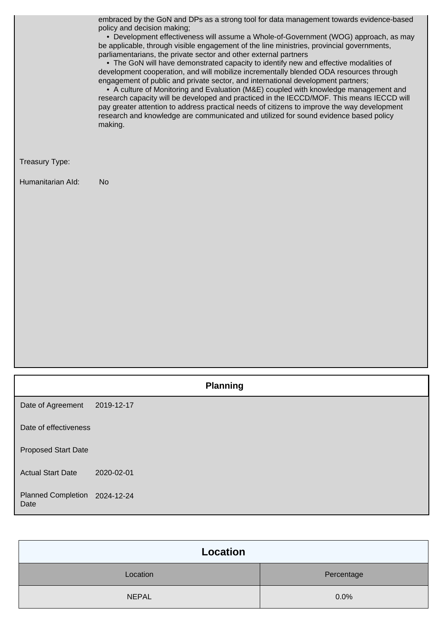embraced by the GoN and DPs as a strong tool for data management towards evidence-based policy and decision making;

 • Development effectiveness will assume a Whole-of-Government (WOG) approach, as may be applicable, through visible engagement of the line ministries, provincial governments, parliamentarians, the private sector and other external partners

 • The GoN will have demonstrated capacity to identify new and effective modalities of development cooperation, and will mobilize incrementally blended ODA resources through engagement of public and private sector, and international development partners;

 • A culture of Monitoring and Evaluation (M&E) coupled with knowledge management and research capacity will be developed and practiced in the IECCD/MOF. This means IECCD will pay greater attention to address practical needs of citizens to improve the way development research and knowledge are communicated and utilized for sound evidence based policy making.

## Treasury Type:

Humanitarian AId: No

|                                       | <b>Planning</b> |
|---------------------------------------|-----------------|
| Date of Agreement                     | 2019-12-17      |
| Date of effectiveness                 |                 |
| <b>Proposed Start Date</b>            |                 |
| <b>Actual Start Date</b>              | 2020-02-01      |
| Planned Completion 2024-12-24<br>Date |                 |

| Location     |            |
|--------------|------------|
| Location     | Percentage |
| <b>NEPAL</b> | 0.0%       |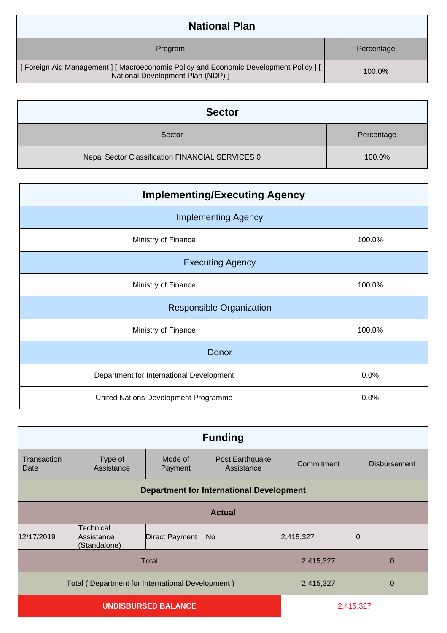| <b>National Plan</b>                                                                                                       |            |
|----------------------------------------------------------------------------------------------------------------------------|------------|
| Program                                                                                                                    | Percentage |
| [ Foreign Aid Management ] [ Macroeconomic Policy and Economic Development Policy ] [<br>National Development Plan (NDP) 1 | 100.0%     |

| <b>Sector</b>                                    |            |
|--------------------------------------------------|------------|
| Sector                                           | Percentage |
| Nepal Sector Classification FINANCIAL SERVICES 0 | 100.0%     |

| <b>Implementing/Executing Agency</b>     |        |  |
|------------------------------------------|--------|--|
| <b>Implementing Agency</b>               |        |  |
| Ministry of Finance                      | 100.0% |  |
| <b>Executing Agency</b>                  |        |  |
| Ministry of Finance                      | 100.0% |  |
| <b>Responsible Organization</b>          |        |  |
| Ministry of Finance                      | 100.0% |  |
| Donor                                    |        |  |
| Department for International Development | 0.0%   |  |
| United Nations Development Programme     | 0.0%   |  |

| <b>Funding</b>                          |                                                                                 |                    |                                                 |            |                     |
|-----------------------------------------|---------------------------------------------------------------------------------|--------------------|-------------------------------------------------|------------|---------------------|
| Transaction<br>Date                     | Type of<br>Assistance                                                           | Mode of<br>Payment | Post Earthquake<br>Assistance                   | Commitment | <b>Disbursement</b> |
|                                         |                                                                                 |                    | <b>Department for International Development</b> |            |                     |
|                                         | <b>Actual</b>                                                                   |                    |                                                 |            |                     |
| 12/17/2019                              | Technical<br>Assistance<br>(Standalone)                                         | Direct Payment     | No.                                             | 2,415,327  |                     |
|                                         | Total<br>2,415,327<br>$\overline{0}$                                            |                    |                                                 |            |                     |
|                                         | Total (Department for International Development)<br>2,415,327<br>$\overline{0}$ |                    |                                                 |            |                     |
| <b>UNDISBURSED BALANCE</b><br>2,415,327 |                                                                                 |                    |                                                 |            |                     |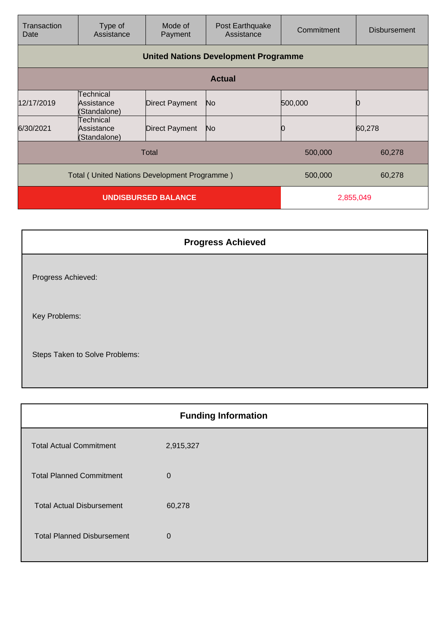| Transaction<br>Date                                               | Type of<br>Assistance                          | Mode of<br>Payment    | Post Earthquake<br>Assistance               | Commitment | <b>Disbursement</b> |
|-------------------------------------------------------------------|------------------------------------------------|-----------------------|---------------------------------------------|------------|---------------------|
|                                                                   |                                                |                       | <b>United Nations Development Programme</b> |            |                     |
|                                                                   | <b>Actual</b>                                  |                       |                                             |            |                     |
| 12/17/2019                                                        | <b>Technical</b><br>Assistance<br>(Standalone) | <b>Direct Payment</b> | No                                          | 500,000    | C                   |
| 6/30/2021                                                         | Technical<br>Assistance<br>(Standalone)        | <b>Direct Payment</b> | No                                          |            | 60,278              |
| Total<br>500,000<br>60,278                                        |                                                |                       |                                             |            |                     |
| Total (United Nations Development Programme)<br>60,278<br>500,000 |                                                |                       |                                             |            |                     |
| <b>UNDISBURSED BALANCE</b>                                        |                                                |                       | 2,855,049                                   |            |                     |

| <b>Progress Achieved</b>       |  |
|--------------------------------|--|
| Progress Achieved:             |  |
| Key Problems:                  |  |
| Steps Taken to Solve Problems: |  |

| <b>Funding Information</b> |
|----------------------------|
| 2,915,327                  |
| $\mathbf{0}$               |
| 60,278                     |
| $\Omega$                   |
|                            |